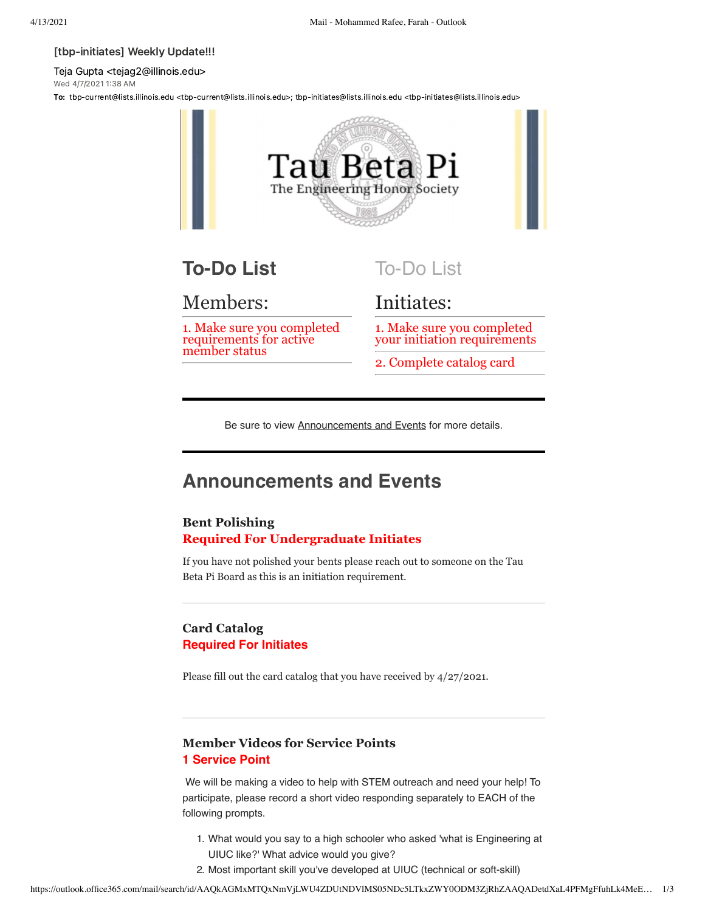#### [tbp-initiates] Weekly Update!!!

Teja Gupta <tejag2@illinois.edu> Wed 4/7/2021 138 AM

To: tbp-current@lists.illinois.edu <tbp-current@lists.illinois.edu>; tbp-initiates@lists.illinois.edu <tbp-initiates@lists.illinois.edu>



# **To-Do List**

## Members:

1. Make sure you completed requirements for active member status

# To-Do List

# Initiates:

1. Make sure you completed your initiation requirements

2. Complete catalog card

Be sure to view **Announcements and Events** for more details.

# **Announcements and Events**

### **Bent Polishing Required For Undergraduate Initiates**

If you have not polished your bents please reach out to someone on the Tau Beta Pi Board as this is an initiation requirement.

### **Card Catalog Required For Initiates**

Please fill out the card catalog that you have received by 4/27/2021.

### **Member Videos for Service Points 1 Service Point**

 We will be making a video to help with STEM outreach and need your help! To participate, please record a short video responding separately to EACH of the following prompts.

- 1. What would you say to a high schooler who asked 'what is Engineering at UIUC like?' What advice would you give?
- 2. Most important skill you've developed at UIUC (technical or soft-skill)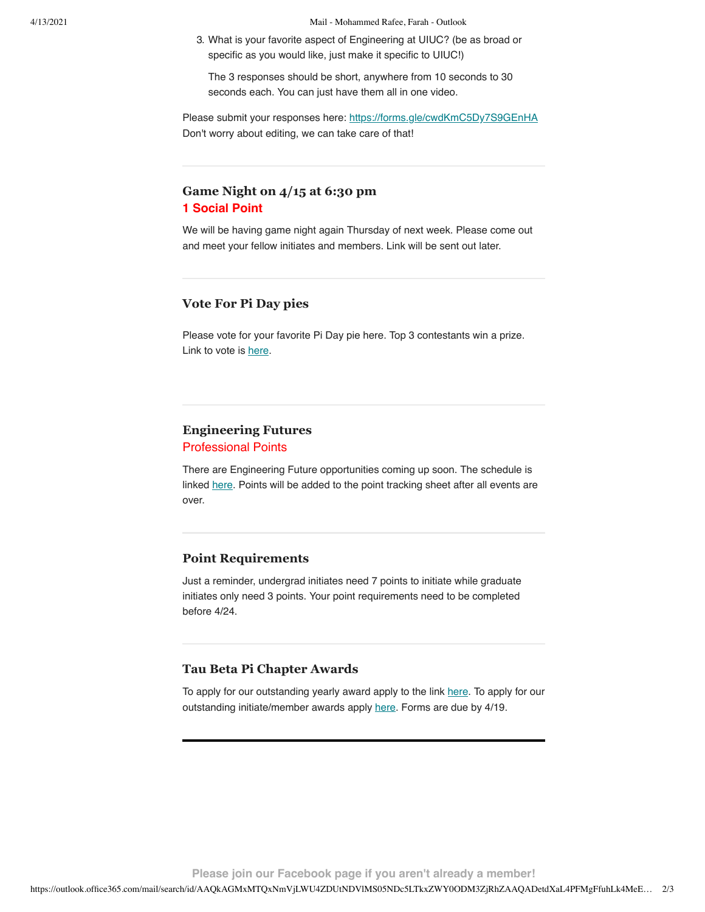4/13/2021 Mail - Mohammed Rafee, Farah - Outlook

3. What is your favorite aspect of Engineering at UIUC? (be as broad or specific as you would like, just make it specific to UIUC!)

The 3 responses should be short, anywhere from 10 seconds to 30 seconds each. You can just have them all in one video.

Please submit your responses here: [https://forms.gle/cwdKmC5Dy7S9GEnHA](https://urldefense.com/v3/__https://forms.gle/cwdKmC5Dy7S9GEnHA__;!!DZ3fjg!rbiNlipDpfpJno_rRQ8cSDENvgXNH__w2ty4cFfV0dVOYxqvyPJ5qbLxtV9PCLMKc642BZ-S768$) Don't worry about editing, we can take care of that!

### **Game Night on 4/15 at 6:30 pm 1 Social Point**

We will be having game night again Thursday of next week. Please come out and meet your fellow initiates and members. Link will be sent out later.

### **Vote For Pi Day pies**

Please vote for your favorite Pi Day pie here. Top 3 contestants win a prize. Link to vote is [here](https://urldefense.com/v3/__https://docs.google.com/forms/d/e/1FAIpQLSd5Hjr_jSOyC203b_mzkBSPvnJoxj8QSzOGnxMHTmzi-MDStw/viewform__;!!DZ3fjg!rbiNlipDpfpJno_rRQ8cSDENvgXNH__w2ty4cFfV0dVOYxqvyPJ5qbLxtV9PCLMKc642QzWeDfs$).

### **Engineering Futures**

#### Professional Points

There are Engineering Future opportunities coming up soon. The schedule is linked [here](https://urldefense.com/v3/__https://www.tbp.org/memb/EF.cfm__;!!DZ3fjg!rbiNlipDpfpJno_rRQ8cSDENvgXNH__w2ty4cFfV0dVOYxqvyPJ5qbLxtV9PCLMKc642k72pVSE$). Points will be added to the point tracking sheet after all events are over.

#### **Point Requirements**

Just a reminder, undergrad initiates need 7 points to initiate while graduate initiates only need 3 points. Your point requirements need to be completed before 4/24.

#### **Tau Beta Pi Chapter Awards**

To apply for our outstanding yearly award apply to the link [here.](https://urldefense.com/v3/__https://docs.google.com/forms/d/e/1FAIpQLSemGSUgdAIKawy8y-fWMuxw1KRqDYSjVqHpXrEQFW5VrDzlCg/viewform__;!!DZ3fjg!rbiNlipDpfpJno_rRQ8cSDENvgXNH__w2ty4cFfV0dVOYxqvyPJ5qbLxtV9PCLMKc642qcK8MFc$) To apply for our outstanding initiate/member awards apply [here.](https://urldefense.com/v3/__https://docs.google.com/forms/d/e/1FAIpQLSfNtf3OsQjUiPRCKGF_Iq3Lysk5GKlEW3HUBpTKyEci9RhICQ/viewform__;!!DZ3fjg!rbiNlipDpfpJno_rRQ8cSDENvgXNH__w2ty4cFfV0dVOYxqvyPJ5qbLxtV9PCLMKc642SupDVUU$) Forms are due by 4/19.

**Please join our Facebook page if you aren't already a member!**